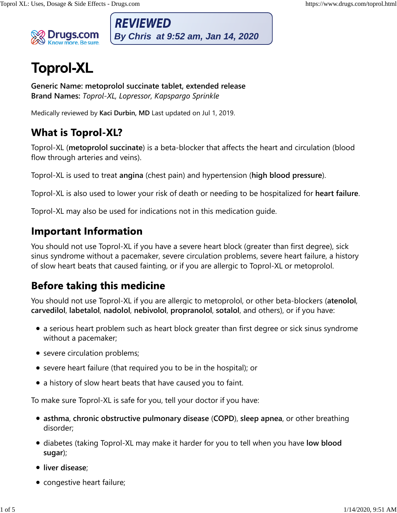

**REVIEWED** 

**Generic Name: metoprolol succinate tablet, extended release Brand Names:** *Toprol-XL, Lopressor, Kapspargo Sprinkle*

Medically reviewed by **Kaci Durbin, MD** Last updated on Jul 1, 2019.

Toprol-XL (**metoprolol succinate**) is a beta-blocker that affects the heart and circulation (blood flow through arteries and veins).

Toprol-XL is used to treat **angina** (chest pain) and hypertension (**high blood pressure**).

Toprol-XL is also used to lower your risk of death or needing to be hospitalized for **heart failure**.

Toprol-XL may also be used for indications not in this medication guide.

You should not use Toprol-XL if you have a severe heart block (greater than first degree), sick sinus syndrome without a pacemaker, severe circulation problems, severe heart failure, a history of slow heart beats that caused fainting, or if you are allergic to Toprol-XL or metoprolol. 1 **Capacity Controllant** (*By Chris at 9:52 am, Jan 14, 2020*)<br>
1 **Oprol-XL**<br>
Contrick lime metropolol succinate tablet extended release<br>
Band Names: Tayrol-XL copressor, Koppongo Sprokle<br>
Medially reviewed by Kaci Durbin,

You should not use Toprol-XL if you are allergic to metoprolol, or other beta-blockers (**atenolol**, **carvedilol**, **labetalol**, **nadolol**, **nebivolol**, **propranolol**, **sotalol**, and others), or if you have:

- a serious heart problem such as heart block greater than first degree or sick sinus syndrome without a pacemaker;
- severe circulation problems;
- severe heart failure (that required you to be in the hospital); or
- a history of slow heart beats that have caused you to faint.

To make sure Toprol-XL is safe for you, tell your doctor if you have:

- **asthma**, **chronic obstructive pulmonary disease** (**COPD**), **sleep apnea**, or other breathing disorder;
- diabetes (taking Toprol-XL may make it harder for you to tell when you have **low blood sugar**);
- **liver disease**;
- congestive heart failure;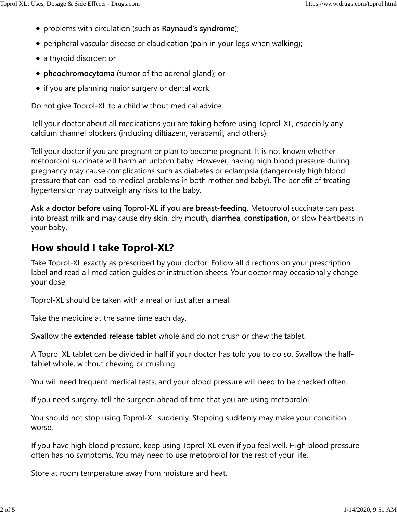- problems with circulation (such as **Raynaud's syndrome**);
- peripheral vascular disease or claudication (pain in your legs when walking);
- a thyroid disorder; or
- **pheochromocytoma** (tumor of the adrenal gland); or
- if you are planning major surgery or dental work.

Do not give Toprol-XL to a child without medical advice.

Tell your doctor about all medications you are taking before using Toprol-XL, especially any calcium channel blockers (including diltiazem, verapamil, and others).

Tell your doctor if you are pregnant or plan to become pregnant. It is not known whether metoprolol succinate will harm an unborn baby. However, having high blood pressure during pregnancy may cause complications such as diabetes or eclampsia (dangerously high blood pressure that can lead to medical problems in both mother and baby). The benefit of treating hypertension may outweigh any risks to the baby.

**Ask a doctor before using Toprol-XL if you are breast-feeding.** Metoprolol succinate can pass into breast milk and may cause **dry skin**, dry mouth, **diarrhea**, **constipation**, or slow heartbeats in your baby.

## How should I take Toprol-XL?

Take Toprol-XL exactly as prescribed by your doctor. Follow all directions on your prescription label and read all medication guides or instruction sheets. Your doctor may occasionally change your dose.

Toprol-XL should be taken with a meal or just after a meal.

Take the medicine at the same time each day.

Swallow the **extended release tablet** whole and do not crush or chew the tablet.

A Toprol XL tablet can be divided in half if your doctor has told you to do so. Swallow the halftablet whole, without chewing or crushing.

You will need frequent medical tests, and your blood pressure will need to be checked often.

If you need surgery, tell the surgeon ahead of time that you are using metoprolol.

You should not stop using Toprol-XL suddenly. Stopping suddenly may make your condition worse.

If you have high blood pressure, keep using Toprol-XL even if you feel well. High blood pressure often has no symptoms. You may need to use metoprolol for the rest of your life.

Store at room temperature away from moisture and heat.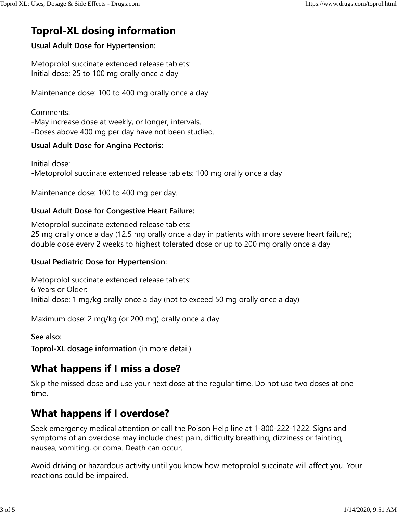# **Toprol-XL dosing information**

### **Usual Adult Dose for Hypertension:**

Metoprolol succinate extended release tablets: Initial dose: 25 to 100 mg orally once a day

Maintenance dose: 100 to 400 mg orally once a day

Comments: -May increase dose at weekly, or longer, intervals. -Doses above 400 mg per day have not been studied.

### **Usual Adult Dose for Angina Pectoris:**

Initial dose: -Metoprolol succinate extended release tablets: 100 mg orally once a day

Maintenance dose: 100 to 400 mg per day.

### **Usual Adult Dose for Congestive Heart Failure:**

Metoprolol succinate extended release tablets: 25 mg orally once a day (12.5 mg orally once a day in patients with more severe heart failure); double dose every 2 weeks to highest tolerated dose or up to 200 mg orally once a day

### **Usual Pediatric Dose for Hypertension:**

Metoprolol succinate extended release tablets: 6 Years or Older: Initial dose: 1 mg/kg orally once a day (not to exceed 50 mg orally once a day)

Maximum dose: 2 mg/kg (or 200 mg) orally once a day

**See also:**

**Toprol-XL dosage information** (in more detail)

## What happens if I miss a dose?

Skip the missed dose and use your next dose at the regular time. Do not use two doses at one time.

## **What happens if I overdose?**

Seek emergency medical attention or call the Poison Help line at 1-800-222-1222. Signs and symptoms of an overdose may include chest pain, difficulty breathing, dizziness or fainting, nausea, vomiting, or coma. Death can occur.

Avoid driving or hazardous activity until you know how metoprolol succinate will affect you. Your reactions could be impaired.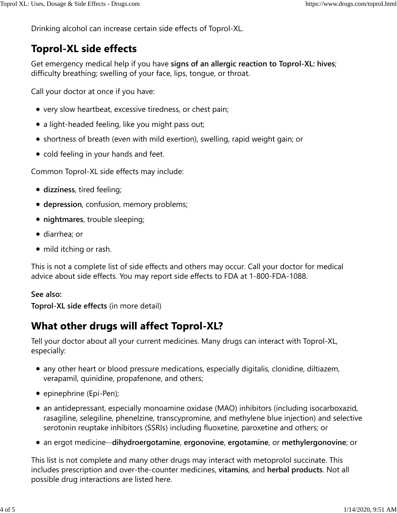Drinking alcohol can increase certain side effects of Toprol-XL.

## **Toprol-XL side effects**

Get emergency medical help if you have **signs of an allergic reaction to Toprol-XL: hives**; difficulty breathing; swelling of your face, lips, tongue, or throat.

Call your doctor at once if you have:

- very slow heartbeat, excessive tiredness, or chest pain;
- a light-headed feeling, like you might pass out;
- shortness of breath (even with mild exertion), swelling, rapid weight gain; or
- cold feeling in your hands and feet.

Common Toprol-XL side effects may include:

- **dizziness**, tired feeling;
- **depression**, confusion, memory problems;
- **nightmares**, trouble sleeping;
- diarrhea; or
- mild itching or rash.

This is not a complete list of side effects and others may occur. Call your doctor for medical advice about side effects. You may report side effects to FDA at 1-800-FDA-1088.

### **See also:**

**Toprol-XL side effects** (in more detail)

## **What other drugs will affect Toprol-XL?**

Tell your doctor about all your current medicines. Many drugs can interact with Toprol-XL, especially:

- any other heart or blood pressure medications, especially digitalis, clonidine, diltiazem, verapamil, quinidine, propafenone, and others;
- epinephrine (Epi-Pen);
- an antidepressant, especially monoamine oxidase (MAO) inhibitors (including isocarboxazid, rasagiline, selegiline, phenelzine, transcypromine, and methylene blue injection) and selective serotonin reuptake inhibitors (SSRIs) including fluoxetine, paroxetine and others; or
- an ergot medicine--**dihydroergotamine**, **ergonovine**, **ergotamine**, or **methylergonovine**; or

This list is not complete and many other drugs may interact with metoprolol succinate. This includes prescription and over-the-counter medicines, **vitamins**, and **herbal products**. Not all possible drug interactions are listed here.